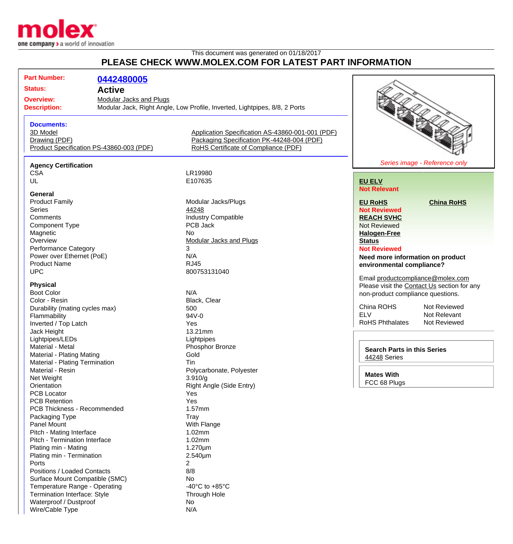

Waterproof / Dustproof No Wire/Cable Type N/A

## This document was generated on 01/18/2017 **PLEASE CHECK WWW.MOLEX.COM FOR LATEST PART INFORMATION**

|                                             |                             | FLEASE CHECK WWW.INCLEA.COM FOR LATEST FART INFORMATION                    |                                                                                  |                               |
|---------------------------------------------|-----------------------------|----------------------------------------------------------------------------|----------------------------------------------------------------------------------|-------------------------------|
| <b>Part Number:</b><br><b>Status:</b>       | 0442480005<br><b>Active</b> |                                                                            |                                                                                  |                               |
| <b>Overview:</b><br>Modular Jacks and Plugs |                             |                                                                            |                                                                                  |                               |
| <b>Description:</b>                         |                             | Modular Jack, Right Angle, Low Profile, Inverted, Lightpipes, 8/8, 2 Ports |                                                                                  |                               |
|                                             |                             |                                                                            |                                                                                  |                               |
|                                             |                             |                                                                            |                                                                                  |                               |
| <b>Documents:</b>                           |                             |                                                                            |                                                                                  |                               |
| 3D Model                                    |                             | Application Specification AS-43860-001-001 (PDF)                           |                                                                                  |                               |
| Drawing (PDF)                               |                             | Packaging Specification PK-44248-004 (PDF)                                 |                                                                                  |                               |
| Product Specification PS-43860-003 (PDF)    |                             | RoHS Certificate of Compliance (PDF)                                       |                                                                                  |                               |
|                                             |                             |                                                                            |                                                                                  |                               |
| <b>Agency Certification</b>                 |                             |                                                                            |                                                                                  | Series image - Reference only |
| <b>CSA</b>                                  |                             | LR19980                                                                    |                                                                                  |                               |
| UL                                          |                             | E107635                                                                    | <b>EU ELV</b>                                                                    |                               |
|                                             |                             |                                                                            | <b>Not Relevant</b>                                                              |                               |
| General                                     |                             |                                                                            |                                                                                  |                               |
| <b>Product Family</b>                       |                             | Modular Jacks/Plugs                                                        | <b>EU RoHS</b>                                                                   | <b>China RoHS</b>             |
| <b>Series</b>                               |                             | 44248                                                                      | <b>Not Reviewed</b>                                                              |                               |
| Comments                                    |                             | <b>Industry Compatible</b>                                                 | <b>REACH SVHC</b>                                                                |                               |
| <b>Component Type</b>                       |                             | PCB Jack                                                                   | <b>Not Reviewed</b>                                                              |                               |
| Magnetic                                    |                             | No                                                                         | <b>Halogen-Free</b>                                                              |                               |
| Overview                                    |                             | <b>Modular Jacks and Plugs</b>                                             | <b>Status</b>                                                                    |                               |
|                                             |                             | 3                                                                          |                                                                                  |                               |
| Performance Category                        |                             | N/A                                                                        | <b>Not Reviewed</b>                                                              |                               |
| Power over Ethernet (PoE)                   |                             |                                                                            | Need more information on product                                                 |                               |
| <b>Product Name</b>                         |                             | <b>RJ45</b>                                                                | environmental compliance?                                                        |                               |
| <b>UPC</b>                                  |                             | 800753131040                                                               | Email productcompliance@molex.com                                                |                               |
| <b>Physical</b>                             |                             |                                                                            |                                                                                  |                               |
| <b>Boot Color</b>                           |                             | N/A                                                                        | Please visit the Contact Us section for any<br>non-product compliance questions. |                               |
| Color - Resin                               |                             |                                                                            |                                                                                  |                               |
|                                             |                             | Black, Clear                                                               | China ROHS                                                                       | Not Reviewed                  |
| Durability (mating cycles max)              |                             | 500                                                                        | <b>ELV</b>                                                                       | Not Relevant                  |
| Flammability                                |                             | $94V - 0$                                                                  | RoHS Phthalates                                                                  | Not Reviewed                  |
| Inverted / Top Latch                        |                             | Yes                                                                        |                                                                                  |                               |
| Jack Height                                 |                             | 13.21mm                                                                    |                                                                                  |                               |
| Lightpipes/LEDs                             |                             | Lightpipes                                                                 |                                                                                  |                               |
| Material - Metal                            |                             | Phosphor Bronze                                                            | <b>Search Parts in this Series</b>                                               |                               |
| Material - Plating Mating                   |                             | Gold                                                                       | 44248 Series                                                                     |                               |
| Material - Plating Termination              |                             | Tin                                                                        |                                                                                  |                               |
| Material - Resin                            |                             | Polycarbonate, Polyester                                                   | <b>Mates With</b>                                                                |                               |
| Net Weight                                  |                             | 3.910/q                                                                    |                                                                                  |                               |
| Orientation                                 |                             | Right Angle (Side Entry)                                                   | FCC 68 Plugs                                                                     |                               |
| <b>PCB Locator</b>                          |                             | Yes                                                                        |                                                                                  |                               |
| <b>PCB Retention</b>                        |                             | Yes                                                                        |                                                                                  |                               |
| <b>PCB Thickness - Recommended</b>          |                             | 1.57mm                                                                     |                                                                                  |                               |
| Packaging Type                              |                             | Tray                                                                       |                                                                                  |                               |
| <b>Panel Mount</b>                          |                             | With Flange                                                                |                                                                                  |                               |
| Pitch - Mating Interface                    |                             | 1.02mm                                                                     |                                                                                  |                               |
| Pitch - Termination Interface               |                             | 1.02mm                                                                     |                                                                                  |                               |
| Plating min - Mating                        |                             | $1.270 \mu m$                                                              |                                                                                  |                               |
| Plating min - Termination                   |                             | 2.540µm                                                                    |                                                                                  |                               |
| Ports                                       |                             | 2                                                                          |                                                                                  |                               |
|                                             |                             | 8/8                                                                        |                                                                                  |                               |
| Positions / Loaded Contacts                 |                             |                                                                            |                                                                                  |                               |
| Surface Mount Compatible (SMC)              |                             | No                                                                         |                                                                                  |                               |
| Temperature Range - Operating               |                             | -40 $^{\circ}$ C to +85 $^{\circ}$ C                                       |                                                                                  |                               |
| Termination Interface: Style                |                             | Through Hole                                                               |                                                                                  |                               |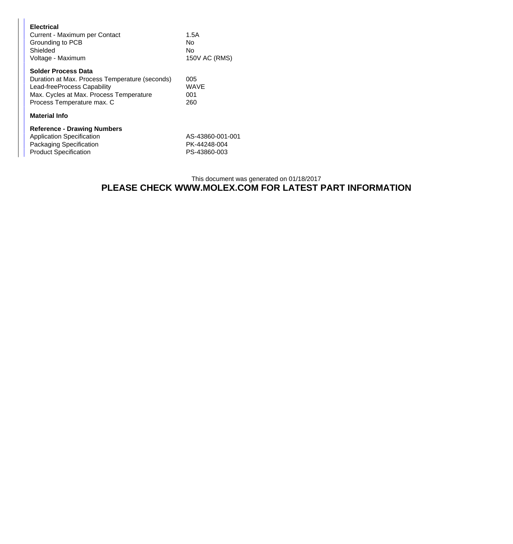| <b>Electrical</b><br>Current - Maximum per Contact<br>Grounding to PCB<br>Shielded<br>Voltage - Maximum                                                                              | 1.5A<br>No<br>No<br>150V AC (RMS)                |  |
|--------------------------------------------------------------------------------------------------------------------------------------------------------------------------------------|--------------------------------------------------|--|
| <b>Solder Process Data</b><br>Duration at Max. Process Temperature (seconds)<br>Lead-freeProcess Capability<br>Max. Cycles at Max. Process Temperature<br>Process Temperature max. C | 005<br><b>WAVE</b><br>001<br>260                 |  |
| Material Info                                                                                                                                                                        |                                                  |  |
| <b>Reference - Drawing Numbers</b><br><b>Application Specification</b><br>Packaging Specification<br><b>Product Specification</b>                                                    | AS-43860-001-001<br>PK-44248-004<br>PS-43860-003 |  |

## This document was generated on 01/18/2017 **PLEASE CHECK WWW.MOLEX.COM FOR LATEST PART INFORMATION**